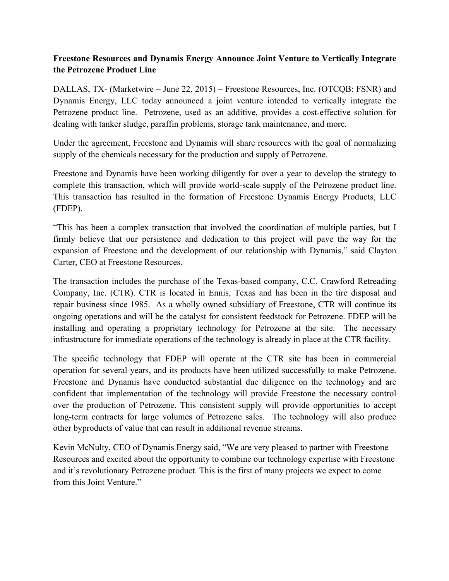# **Freestone Resources and Dynamis Energy Announce Joint Venture to Vertically Integrate the Petrozene Product Line**

DALLAS, TX- (Marketwire – June 22, 2015) – Freestone Resources, Inc. (OTCQB: FSNR) and Dynamis Energy, LLC today announced a joint venture intended to vertically integrate the Petrozene product line. Petrozene, used as an additive, provides a cost-effective solution for dealing with tanker sludge, paraffin problems, storage tank maintenance, and more.

Under the agreement, Freestone and Dynamis will share resources with the goal of normalizing supply of the chemicals necessary for the production and supply of Petrozene.

Freestone and Dynamis have been working diligently for over a year to develop the strategy to complete this transaction, which will provide world-scale supply of the Petrozene product line. This transaction has resulted in the formation of Freestone Dynamis Energy Products, LLC (FDEP).

"This has been a complex transaction that involved the coordination of multiple parties, but I firmly believe that our persistence and dedication to this project will pave the way for the expansion of Freestone and the development of our relationship with Dynamis," said Clayton Carter, CEO at Freestone Resources.

The transaction includes the purchase of the Texas-based company, C.C. Crawford Retreading Company, Inc. (CTR). CTR is located in Ennis, Texas and has been in the tire disposal and repair business since 1985. As a wholly owned subsidiary of Freestone, CTR will continue its ongoing operations and will be the catalyst for consistent feedstock for Petrozene. FDEP will be installing and operating a proprietary technology for Petrozene at the site. The necessary infrastructure for immediate operations of the technology is already in place at the CTR facility.

The specific technology that FDEP will operate at the CTR site has been in commercial operation for several years, and its products have been utilized successfully to make Petrozene. Freestone and Dynamis have conducted substantial due diligence on the technology and are confident that implementation of the technology will provide Freestone the necessary control over the production of Petrozene. This consistent supply will provide opportunities to accept long-term contracts for large volumes of Petrozene sales. The technology will also produce other byproducts of value that can result in additional revenue streams.

Kevin McNulty, CEO of Dynamis Energy said, "We are very pleased to partner with Freestone Resources and excited about the opportunity to combine our technology expertise with Freestone and it's revolutionary Petrozene product. This is the first of many projects we expect to come from this Joint Venture."